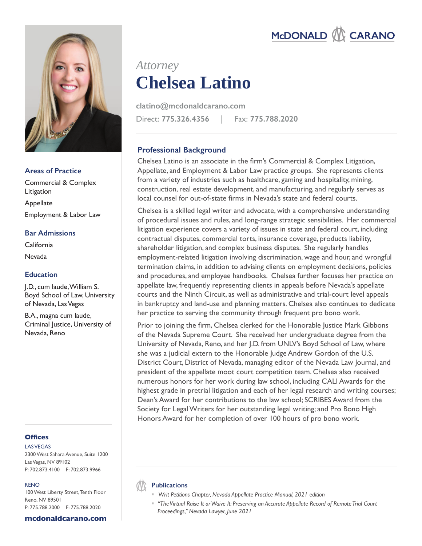

## **Areas of Practice**

Commercial & Complex Litigation Appellate Employment & Labor Law

## **Bar Admissions**

California Nevada

# **Education**

J.D., cum laude, William S. Boyd School of Law, University of Nevada, Las Vegas

B.A., magna cum laude, Criminal Justice, University of Nevada, Reno

# **Offices**

LAS VEGAS 2300 West Sahara Avenue, Suite 1200 Las Vegas, NV 89102 P: 702.873.4100 F: 702.873.9966

### RENO

100 West Liberty Street, Tenth Floor Reno, NV 89501 P: 775.788.2000 F: 775.788.2020

### **mcdonaldcarano.com**

# **Chelsea Latino** *Attorney*

Direct: **775.326.4356 |** Fax: **775.788.2020 clatino@mcdonaldcarano.com**

# **Professional Background**

Chelsea Latino is an associate in the firm's Commercial & Complex Litigation, Appellate, and Employment & Labor Law practice groups. She represents clients from a variety of industries such as healthcare, gaming and hospitality, mining, construction, real estate development, and manufacturing, and regularly serves as local counsel for out-of-state firms in Nevada's state and federal courts.

Chelsea is a skilled legal writer and advocate, with a comprehensive understanding of procedural issues and rules, and long-range strategic sensibilities. Her commercial litigation experience covers a variety of issues in state and federal court, including contractual disputes, commercial torts, insurance coverage, products liability, shareholder litigation, and complex business disputes. She regularly handles employment-related litigation involving discrimination, wage and hour, and wrongful termination claims, in addition to advising clients on employment decisions, policies and procedures, and employee handbooks. Chelsea further focuses her practice on appellate law, frequently representing clients in appeals before Nevada's appellate courts and the Ninth Circuit, as well as administrative and trial-court level appeals in bankruptcy and land-use and planning matters. Chelsea also continues to dedicate her practice to serving the community through frequent pro bono work.

Prior to joining the firm, Chelsea clerked for the Honorable Justice Mark Gibbons of the Nevada Supreme Court. She received her undergraduate degree from the University of Nevada, Reno, and her J.D. from UNLV's Boyd School of Law, where she was a judicial extern to the Honorable Judge Andrew Gordon of the U.S. District Court, District of Nevada, managing editor of the Nevada Law Journal, and president of the appellate moot court competition team. Chelsea also received numerous honors for her work during law school, including CALI Awards for the highest grade in pretrial litigation and each of her legal research and writing courses; Dean's Award for her contributions to the law school; SCRIBES Award from the Society for Legal Writers for her outstanding legal writing; and Pro Bono High Honors Award for her completion of over 100 hours of pro bono work.

## **Publications**

- *Writ Petitions Chapter, Nevada Appellate Practice Manual, 2021 edition*
- *"The Virtual Raise It or Waive It: Preserving an Accurate Appellate Record of Remote Trial Court Proceedings," Nevada Lawyer, June 2021*